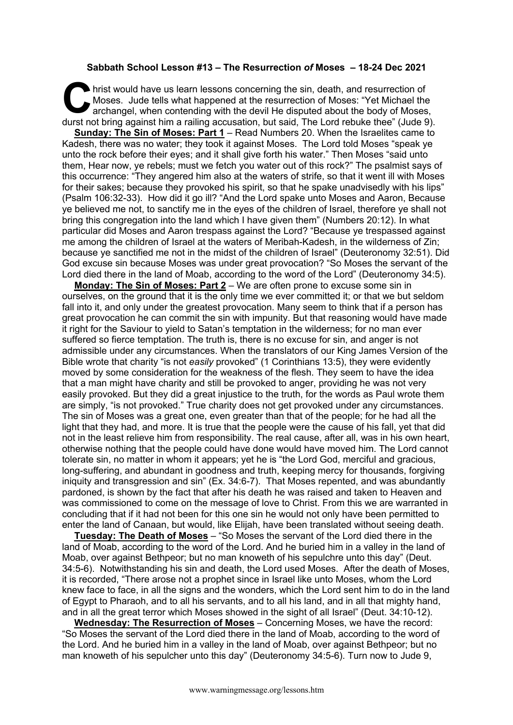## **Sabbath School Lesson #13 – The Resurrection** *of* **Moses – 18-24 Dec 2021**

hrist would have us learn lessons concerning the sin, death, and resurrection of Moses. Jude tells what happened at the resurrection of Moses: "Yet Michael the archangel, when contending with the devil He disputed about the body of Moses, durst not bring against him a railing accusation, but said, The Lord rebuke thee" (Jude 9). **C**<br>Mc

**Sunday: The Sin of Moses: Part 1** – Read Numbers 20. When the Israelites came to Kadesh, there was no water; they took it against Moses. The Lord told Moses "speak ye unto the rock before their eyes; and it shall give forth his water." Then Moses "said unto them, Hear now, ye rebels; must we fetch you water out of this rock?" The psalmist says of this occurrence: "They angered him also at the waters of strife, so that it went ill with Moses for their sakes; because they provoked his spirit, so that he spake unadvisedly with his lips" (Psalm 106:32-33). How did it go ill? "And the Lord spake unto Moses and Aaron, Because ye believed me not, to sanctify me in the eyes of the children of Israel, therefore ye shall not bring this congregation into the land which I have given them" (Numbers 20:12). In what particular did Moses and Aaron trespass against the Lord? "Because ye trespassed against me among the children of Israel at the waters of Meribah-Kadesh, in the wilderness of Zin; because ye sanctified me not in the midst of the children of Israel" (Deuteronomy 32:51). Did God excuse sin because Moses was under great provocation? "So Moses the servant of the Lord died there in the land of Moab, according to the word of the Lord" (Deuteronomy 34:5).

**Monday: The Sin of Moses: Part 2** – We are often prone to excuse some sin in ourselves, on the ground that it is the only time we ever committed it; or that we but seldom fall into it, and only under the greatest provocation. Many seem to think that if a person has great provocation he can commit the sin with impunity. But that reasoning would have made it right for the Saviour to yield to Satan's temptation in the wilderness; for no man ever suffered so fierce temptation. The truth is, there is no excuse for sin, and anger is not admissible under any circumstances. When the translators of our King James Version of the Bible wrote that charity "is not *easily* provoked" (1 Corinthians 13:5), they were evidently moved by some consideration for the weakness of the flesh. They seem to have the idea that a man might have charity and still be provoked to anger, providing he was not very easily provoked. But they did a great injustice to the truth, for the words as Paul wrote them are simply, "is not provoked." True charity does not get provoked under any circumstances. The sin of Moses was a great one, even greater than that of the people; for he had all the light that they had, and more. It is true that the people were the cause of his fall, yet that did not in the least relieve him from responsibility. The real cause, after all, was in his own heart, otherwise nothing that the people could have done would have moved him. The Lord cannot tolerate sin, no matter in whom it appears; yet he is "the Lord God, merciful and gracious, long-suffering, and abundant in goodness and truth, keeping mercy for thousands, forgiving iniquity and transgression and sin" (Ex. 34:6-7). That Moses repented, and was abundantly pardoned, is shown by the fact that after his death he was raised and taken to Heaven and was commissioned to come on the message of love to Christ. From this we are warranted in concluding that if it had not been for this one sin he would not only have been permitted to enter the land of Canaan, but would, like Elijah, have been translated without seeing death.

**Tuesday: The Death of Moses** – "So Moses the servant of the Lord died there in the land of Moab, according to the word of the Lord. And he buried him in a valley in the land of Moab, over against Bethpeor; but no man knoweth of his sepulchre unto this day" (Deut. 34:5-6). Notwithstanding his sin and death, the Lord used Moses. After the death of Moses, it is recorded, "There arose not a prophet since in Israel like unto Moses, whom the Lord knew face to face, in all the signs and the wonders, which the Lord sent him to do in the land of Egypt to Pharaoh, and to all his servants, and to all his land, and in all that mighty hand, and in all the great terror which Moses showed in the sight of all Israel" (Deut. 34:10-12).

**Wednesday: The Resurrection of Moses** – Concerning Moses, we have the record: "So Moses the servant of the Lord died there in the land of Moab, according to the word of the Lord. And he buried him in a valley in the land of Moab, over against Bethpeor; but no man knoweth of his sepulcher unto this day" (Deuteronomy 34:5-6). Turn now to Jude 9,